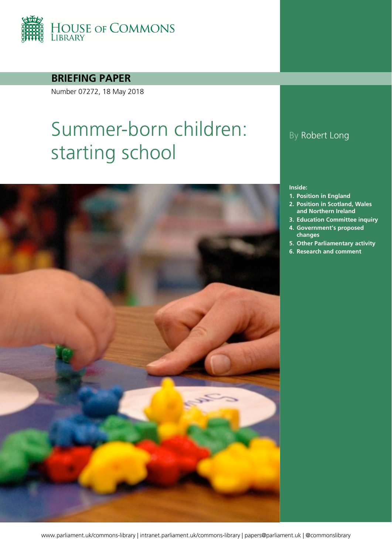

**BRIEFING PAPER**

Number 07272, 18 May 2018

# Summer-born children: starting school



### By Robert Long

#### **Inside:**

- **1. [Position in England](#page-3-0)**
- **2. [Position in Scotland, Wales](#page-8-0)  [and Northern Ireland](#page-8-0)**
- **3. [Education Committee inquiry](#page-10-0)**
- **4. [Government's proposed](#page-12-0)  [changes](#page-12-0)**
- **5. [Other Parliamentary activity](#page-16-0)**
- **6. [Research and comment](#page-17-0)**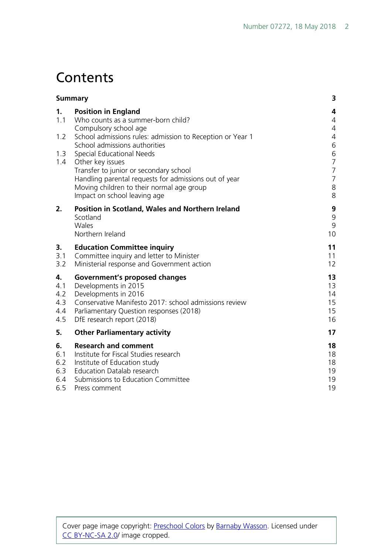## **Contents**

| <b>Summary</b>                        |                                                                                                                                                                                                                 | 3                                     |
|---------------------------------------|-----------------------------------------------------------------------------------------------------------------------------------------------------------------------------------------------------------------|---------------------------------------|
| 1.<br>1.1                             | <b>Position in England</b><br>Who counts as a summer-born child?<br>Compulsory school age                                                                                                                       | 4<br>$\overline{4}$<br>4              |
| 1.2                                   | School admissions rules: admission to Reception or Year 1<br>School admissions authorities                                                                                                                      | 4<br>6                                |
| 1.3<br>1.4                            | Special Educational Needs<br>Other key issues<br>Transfer to junior or secondary school                                                                                                                         | 6<br>$\overline{7}$<br>$\overline{7}$ |
|                                       | Handling parental requests for admissions out of year<br>Moving children to their normal age group<br>Impact on school leaving age                                                                              | $\overline{7}$<br>8<br>8              |
| 2.                                    | Position in Scotland, Wales and Northern Ireland<br>Scotland<br>Wales<br>Northern Ireland                                                                                                                       | 9<br>9<br>9<br>10                     |
| 3.<br>3.1<br>3.2                      | <b>Education Committee inquiry</b><br>Committee inquiry and letter to Minister<br>Ministerial response and Government action                                                                                    | 11<br>11<br>12                        |
| 4.<br>4.1<br>4.2<br>4.3<br>4.4<br>4.5 | Government's proposed changes<br>Developments in 2015<br>Developments in 2016<br>Conservative Manifesto 2017: school admissions review<br>Parliamentary Question responses (2018)<br>DfE research report (2018) | 13<br>13<br>14<br>15<br>15<br>16      |
| 5.                                    | <b>Other Parliamentary activity</b>                                                                                                                                                                             | 17                                    |
| 6.<br>6.1<br>6.2<br>6.3<br>6.4<br>6.5 | <b>Research and comment</b><br>Institute for Fiscal Studies research<br>Institute of Education study<br><b>Education Datalab research</b><br>Submissions to Education Committee<br>Press comment                | 18<br>18<br>18<br>19<br>19<br>19      |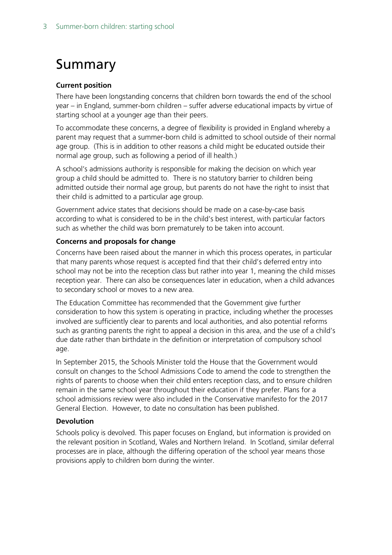## <span id="page-2-0"></span>Summary

### **Current position**

There have been longstanding concerns that children born towards the end of the school year – in England, summer-born children – suffer adverse educational impacts by virtue of starting school at a younger age than their peers.

To accommodate these concerns, a degree of flexibility is provided in England whereby a parent may request that a summer-born child is admitted to school outside of their normal age group. (This is in addition to other reasons a child might be educated outside their normal age group, such as following a period of ill health.)

A school's admissions authority is responsible for making the decision on which year group a child should be admitted to. There is no statutory barrier to children being admitted outside their normal age group, but parents do not have the right to insist that their child is admitted to a particular age group.

Government advice states that decisions should be made on a case-by-case basis according to what is considered to be in the child's best interest, with particular factors such as whether the child was born prematurely to be taken into account.

#### **Concerns and proposals for change**

Concerns have been raised about the manner in which this process operates, in particular that many parents whose request is accepted find that their child's deferred entry into school may not be into the reception class but rather into year 1, meaning the child misses reception year. There can also be consequences later in education, when a child advances to secondary school or moves to a new area.

The Education Committee has recommended that the Government give further consideration to how this system is operating in practice, including whether the processes involved are sufficiently clear to parents and local authorities, and also potential reforms such as granting parents the right to appeal a decision in this area, and the use of a child's due date rather than birthdate in the definition or interpretation of compulsory school age.

In September 2015, the Schools Minister told the House that the Government would consult on changes to the School Admissions Code to amend the code to strengthen the rights of parents to choose when their child enters reception class, and to ensure children remain in the same school year throughout their education if they prefer. Plans for a school admissions review were also included in the Conservative manifesto for the 2017 General Election. However, to date no consultation has been published.

#### **Devolution**

Schools policy is devolved. This paper focuses on England, but information is provided on the relevant position in Scotland, Wales and Northern Ireland. In Scotland, similar deferral processes are in place, although the differing operation of the school year means those provisions apply to children born during the winter.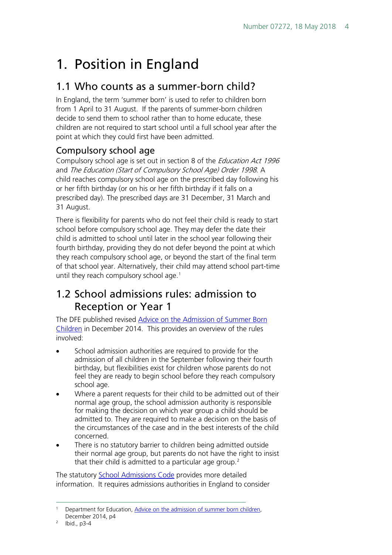## <span id="page-3-0"></span>1. Position in England

## <span id="page-3-1"></span>1.1 Who counts as a summer-born child?

In England, the term 'summer born' is used to refer to children born from 1 April to 31 August. If the parents of summer-born children decide to send them to school rather than to home educate, these children are not required to start school until a full school year after the point at which they could first have been admitted.

### <span id="page-3-2"></span>Compulsory school age

Compulsory school age is set out in section 8 of the *Education Act 1996* and The Education (Start of Compulsory School Age) Order 1998. A child reaches compulsory school age on the prescribed day following his or her fifth birthday (or on his or her fifth birthday if it falls on a prescribed day). The prescribed days are 31 December, 31 March and 31 August.

There is flexibility for parents who do not feel their child is ready to start school before compulsory school age. They may defer the date their child is admitted to school until later in the school year following their fourth birthday, providing they do not defer beyond the point at which they reach compulsory school age, or beyond the start of the final term of that school year. Alternatively, their child may attend school part-time until they reach compulsory school age.<sup>[1](#page-3-4)</sup>

## <span id="page-3-3"></span>1.2 School admissions rules: admission to Reception or Year 1

The DFE published revised Advice on the Admission of Summer Born [Children](https://www.gov.uk/government/uploads/system/uploads/attachment_data/file/389448/Summer_born_admissions_advice_Dec_2014.pdf) in December 2014. This provides an overview of the rules involved:

- School admission authorities are required to provide for the admission of all children in the September following their fourth birthday, but flexibilities exist for children whose parents do not feel they are ready to begin school before they reach compulsory school age.
- Where a parent requests for their child to be admitted out of their normal age group, the school admission authority is responsible for making the decision on which year group a child should be admitted to. They are required to make a decision on the basis of the circumstances of the case and in the best interests of the child concerned.
- There is no statutory barrier to children being admitted outside their normal age group, but parents do not have the right to insist that their child is admitted to a particular age group.<sup>[2](#page-3-5)</sup>

The statutory [School Admissions Code](https://www.gov.uk/government/uploads/system/uploads/attachment_data/file/389388/School_Admissions_Code_2014_-_19_Dec.pdf) provides more detailed information. It requires admissions authorities in England to consider

<span id="page-3-4"></span> <sup>1</sup> Department for Education, [Advice on the admission of summer born children,](https://www.gov.uk/government/uploads/system/uploads/attachment_data/file/389448/Summer_born_admissions_advice_Dec_2014.pdf)  December 2014, p4

<span id="page-3-5"></span> $2$  Ibid., p3-4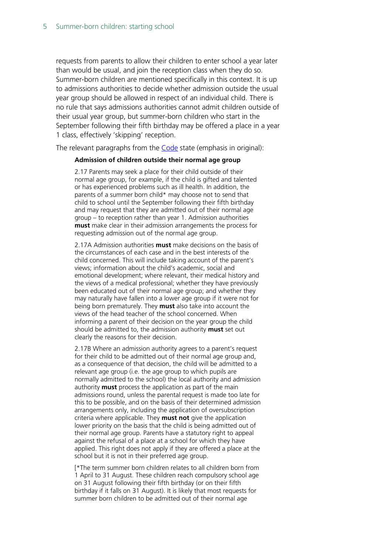requests from parents to allow their children to enter school a year later than would be usual, and join the reception class when they do so. Summer-born children are mentioned specifically in this context. It is up to admissions authorities to decide whether admission outside the usual year group should be allowed in respect of an individual child. There is no rule that says admissions authorities cannot admit children outside of their usual year group, but summer-born children who start in the September following their fifth birthday may be offered a place in a year 1 class, effectively 'skipping' reception.

The relevant paragraphs from the [Code](https://www.gov.uk/government/uploads/system/uploads/attachment_data/file/389388/School_Admissions_Code_2014_-_19_Dec.pdf) state (emphasis in original):

#### **Admission of children outside their normal age group**

2.17 Parents may seek a place for their child outside of their normal age group, for example, if the child is gifted and talented or has experienced problems such as ill health. In addition, the parents of a summer born child\* may choose not to send that child to school until the September following their fifth birthday and may request that they are admitted out of their normal age group – to reception rather than year 1. Admission authorities **must** make clear in their admission arrangements the process for requesting admission out of the normal age group.

2.17A Admission authorities **must** make decisions on the basis of the circumstances of each case and in the best interests of the child concerned. This will include taking account of the parent's views; information about the child's academic, social and emotional development; where relevant, their medical history and the views of a medical professional; whether they have previously been educated out of their normal age group; and whether they may naturally have fallen into a lower age group if it were not for being born prematurely. They **must** also take into account the views of the head teacher of the school concerned. When informing a parent of their decision on the year group the child should be admitted to, the admission authority **must** set out clearly the reasons for their decision.

2.17B Where an admission authority agrees to a parent's request for their child to be admitted out of their normal age group and, as a consequence of that decision, the child will be admitted to a relevant age group (i.e. the age group to which pupils are normally admitted to the school) the local authority and admission authority **must** process the application as part of the main admissions round, unless the parental request is made too late for this to be possible, and on the basis of their determined admission arrangements only, including the application of oversubscription criteria where applicable. They **must not** give the application lower priority on the basis that the child is being admitted out of their normal age group. Parents have a statutory right to appeal against the refusal of a place at a school for which they have applied. This right does not apply if they are offered a place at the school but it is not in their preferred age group.

[\*The term summer born children relates to all children born from 1 April to 31 August. These children reach compulsory school age on 31 August following their fifth birthday (or on their fifth birthday if it falls on 31 August). It is likely that most requests for summer born children to be admitted out of their normal age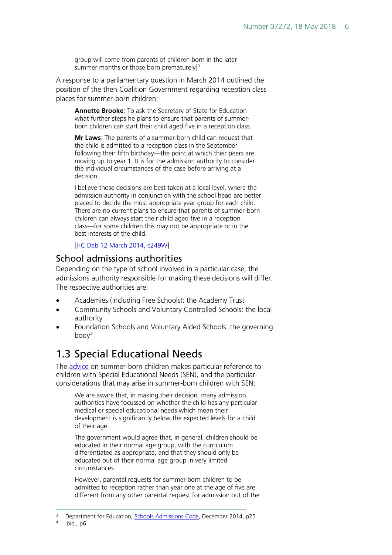group will come from parents of children born in the later summer months or those born prematurely]<sup>[3](#page-5-2)</sup>

A response to a parliamentary question in March 2014 outlined the position of the then Coalition Government regarding reception class places for summer-born children:

**Annette Brooke**: To ask the Secretary of State for Education what further steps he plans to ensure that parents of summerborn children can start their child aged five in a reception class.

**Mr Laws**: The parents of a summer-born child can request that the child is admitted to a reception class in the September following their fifth birthday—the point at which their peers are moving up to year 1. It is for the admission authority to consider the individual circumstances of the case before arriving at a decision.

I believe those decisions are best taken at a local level, where the admission authority in conjunction with the school head are better placed to decide the most appropriate year group for each child. There are no current plans to ensure that parents of summer-born children can always start their child aged five in a reception class—for some children this may not be appropriate or in the best interests of the child.

[\[HC Deb 12 March 2014, c249W\]](http://www.publications.parliament.uk/pa/cm201314/cmhansrd/cm140312/text/140312w0002.htm#14031286001258)

### <span id="page-5-0"></span>School admissions authorities

Depending on the type of school involved in a particular case, the admissions authority responsible for making these decisions will differ. The respective authorities are:

- Academies (including Free Schools): the Academy Trust
- Community Schools and Voluntary Controlled Schools: the local authority
- Foundation Schools and Voluntary Aided Schools: the governing  $body<sup>4</sup>$  $body<sup>4</sup>$  $body<sup>4</sup>$

## <span id="page-5-1"></span>1.3 Special Educational Needs

The [advice](https://www.gov.uk/government/uploads/system/uploads/attachment_data/file/389448/Summer_born_admissions_advice_Dec_2014.pdf) on summer-born children makes particular reference to children with Special Educational Needs (SEN), and the particular considerations that may arise in summer-born children with SEN:

We are aware that, in making their decision, many admission authorities have focussed on whether the child has any particular medical or special educational needs which mean their development is significantly below the expected levels for a child of their age.

The government would agree that, in general, children should be educated in their normal age group, with the curriculum differentiated as appropriate, and that they should only be educated out of their normal age group in very limited circumstances.

However, parental requests for summer born children to be admitted to reception rather than year one at the age of five are different from any other parental request for admission out of the

 <sup>3</sup> Department for Education, [Schools Admissions Code,](https://www.gov.uk/government/uploads/system/uploads/attachment_data/file/389388/School_Admissions_Code_2014_-_19_Dec.pdf) December 2014, p25

<span id="page-5-3"></span><span id="page-5-2"></span>Ibid., p6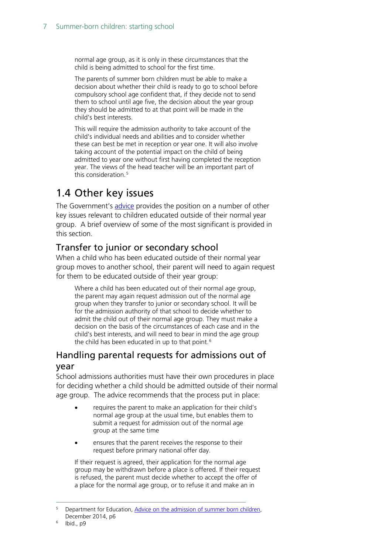normal age group, as it is only in these circumstances that the child is being admitted to school for the first time.

The parents of summer born children must be able to make a decision about whether their child is ready to go to school before compulsory school age confident that, if they decide not to send them to school until age five, the decision about the year group they should be admitted to at that point will be made in the child's best interests.

This will require the admission authority to take account of the child's individual needs and abilities and to consider whether these can best be met in reception or year one. It will also involve taking account of the potential impact on the child of being admitted to year one without first having completed the reception year. The views of the head teacher will be an important part of this consideration.<sup>[5](#page-6-3)</sup>

## <span id="page-6-0"></span>1.4 Other key issues

The Government's [advice](https://www.gov.uk/government/uploads/system/uploads/attachment_data/file/389448/Summer_born_admissions_advice_Dec_2014.pdf) provides the position on a number of other key issues relevant to children educated outside of their normal year group. A brief overview of some of the most significant is provided in this section.

### <span id="page-6-1"></span>Transfer to junior or secondary school

When a child who has been educated outside of their normal year group moves to another school, their parent will need to again request for them to be educated outside of their year group:

Where a child has been educated out of their normal age group, the parent may again request admission out of the normal age group when they transfer to junior or secondary school. It will be for the admission authority of that school to decide whether to admit the child out of their normal age group. They must make a decision on the basis of the circumstances of each case and in the child's best interests, and will need to bear in mind the age group the child has been educated in up to that point.<sup>[6](#page-6-4)</sup>

### <span id="page-6-2"></span>Handling parental requests for admissions out of year

School admissions authorities must have their own procedures in place for deciding whether a child should be admitted outside of their normal age group. The advice recommends that the process put in place:

- requires the parent to make an application for their child's normal age group at the usual time, but enables them to submit a request for admission out of the normal age group at the same time
- ensures that the parent receives the response to their request before primary national offer day.

If their request is agreed, their application for the normal age group may be withdrawn before a place is offered. If their request is refused, the parent must decide whether to accept the offer of a place for the normal age group, or to refuse it and make an in

<span id="page-6-3"></span>Department for Education, Advice on the admission of summer born children, December 2014, p6

<span id="page-6-4"></span>Ibid., p9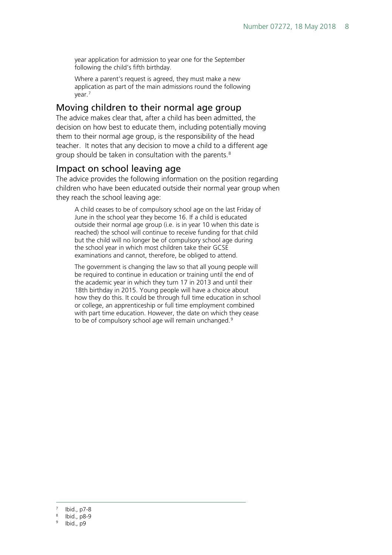year application for admission to year one for the September following the child's fifth birthday.

Where a parent's request is agreed, they must make a new application as part of the main admissions round the following year.[7](#page-7-2)

### <span id="page-7-0"></span>Moving children to their normal age group

The advice makes clear that, after a child has been admitted, the decision on how best to educate them, including potentially moving them to their normal age group, is the responsibility of the head teacher. It notes that any decision to move a child to a different age group should be taken in consultation with the parents.<sup>[8](#page-7-3)</sup>

### <span id="page-7-1"></span>Impact on school leaving age

The advice provides the following information on the position regarding children who have been educated outside their normal year group when they reach the school leaving age:

A child ceases to be of compulsory school age on the last Friday of June in the school year they become 16. If a child is educated outside their normal age group (i.e. is in year 10 when this date is reached) the school will continue to receive funding for that child but the child will no longer be of compulsory school age during the school year in which most children take their GCSE examinations and cannot, therefore, be obliged to attend.

The government is changing the law so that all young people will be required to continue in education or training until the end of the academic year in which they turn 17 in 2013 and until their 18th birthday in 2015. Young people will have a choice about how they do this. It could be through full time education in school or college, an apprenticeship or full time employment combined with part time education. However, the date on which they cease to be of compulsory school age will remain unchanged.<sup>[9](#page-7-4)</sup>

<span id="page-7-2"></span>Ibid., p7-8

<sup>8</sup> Ibid., p8-9

<span id="page-7-4"></span><span id="page-7-3"></span>Ibid., p9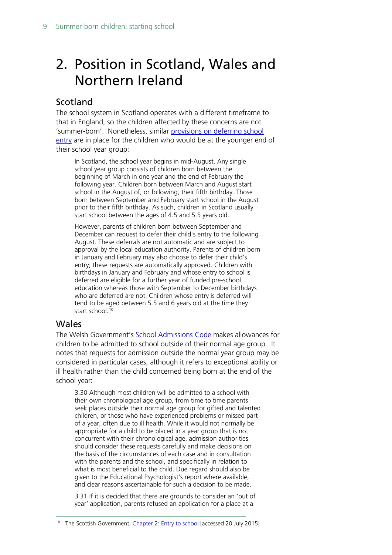## <span id="page-8-0"></span>2. Position in Scotland, Wales and Northern Ireland

### <span id="page-8-1"></span>Scotland

The school system in Scotland operates with a different timeframe to that in England, so the children affected by these concerns are not 'summer-born'. Nonetheless, similar [provisions on deferring school](http://www.gov.scot/Publications/2012/05/7940/4)  [entry](http://www.gov.scot/Publications/2012/05/7940/4) are in place for the children who would be at the younger end of their school year group:

In Scotland, the school year begins in mid-August. Any single school year group consists of children born between the beginning of March in one year and the end of February the following year. Children born between March and August start school in the August of, or following, their fifth birthday. Those born between September and February start school in the August prior to their fifth birthday. As such, children in Scotland usually start school between the ages of 4.5 and 5.5 years old.

However, parents of children born between September and December can request to defer their child's entry to the following August. These deferrals are not automatic and are subject to approval by the local education authority. Parents of children born in January and February may also choose to defer their child's entry; these requests are automatically approved. Children with birthdays in January and February and whose entry to school is deferred are eligible for a further year of funded pre-school education whereas those with September to December birthdays who are deferred are not. Children whose entry is deferred will tend to be aged between 5.5 and 6 years old at the time they start school.<sup>[10](#page-8-3)</sup>

### <span id="page-8-2"></span>Wales

The Welsh Government's [School Admissions Code](http://gov.wales/topics/educationandskills/schoolshome/admissions-and-appeals-code/?lang=en) makes allowances for children to be admitted to school outside of their normal age group. It notes that requests for admission outside the normal year group may be considered in particular cases, although it refers to exceptional ability or ill health rather than the child concerned being born at the end of the school year:

3.30 Although most children will be admitted to a school with their own chronological age group, from time to time parents seek places outside their normal age group for gifted and talented children, or those who have experienced problems or missed part of a year, often due to ill health. While it would not normally be appropriate for a child to be placed in a year group that is not concurrent with their chronological age, admission authorities should consider these requests carefully and make decisions on the basis of the circumstances of each case and in consultation with the parents and the school, and specifically in relation to what is most beneficial to the child. Due regard should also be given to the Educational Psychologist's report where available, and clear reasons ascertainable for such a decision to be made.

3.31 If it is decided that there are grounds to consider an 'out of year' application, parents refused an application for a place at a

<span id="page-8-3"></span><sup>&</sup>lt;sup>10</sup> The Scottish Government, [Chapter 2: Entry to school](http://www.gov.scot/Publications/2012/05/7940/4) [accessed 20 July 2015]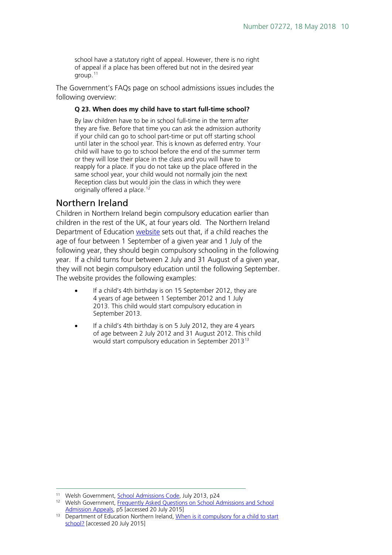school have a statutory right of appeal. However, there is no right of appeal if a place has been offered but not in the desired year group.[11](#page-9-1)

The Government's FAQs page on school admissions issues includes the following overview:

#### **Q 23. When does my child have to start full-time school?**

By law children have to be in school full-time in the term after they are five. Before that time you can ask the admission authority if your child can go to school part-time or put off starting school until later in the school year. This is known as deferred entry. Your child will have to go to school before the end of the summer term or they will lose their place in the class and you will have to reapply for a place. If you do not take up the place offered in the same school year, your child would not normally join the next Reception class but would join the class in which they were originally offered a place.<sup>[12](#page-9-2)</sup>

### <span id="page-9-0"></span>Northern Ireland

Children in Northern Ireland begin compulsory education earlier than children in the rest of the UK, at four years old. The Northern Ireland Department of Education [website](http://www.deni.gov.uk/index/schools-and-infrastructure-2/admission-and-transport/pupils-and-classes/compulsory-school-age.htm) sets out that, if a child reaches the age of four between 1 September of a given year and 1 July of the following year, they should begin compulsory schooling in the following year. If a child turns four between 2 July and 31 August of a given year, they will not begin compulsory education until the following September. The website provides the following examples:

- If a child's 4th birthday is on 15 September 2012, they are 4 years of age between 1 September 2012 and 1 July 2013. This child would start compulsory education in September 2013.
- If a child's 4th birthday is on 5 July 2012, they are 4 years of age between 2 July 2012 and 31 August 2012. This child would start compulsory education in September 2013[13](#page-9-3)

<span id="page-9-1"></span><sup>&</sup>lt;sup>11</sup> Welsh Government, **School Admissions Code**, July 2013, p24

<span id="page-9-2"></span><sup>&</sup>lt;sup>12</sup> Welsh Government, Frequently Asked Questions on School Admissions and School [Admission Appeals,](http://gov.wales/docs/dcells/publications/150305-school-admissions-faq-en.pdf) p5 [accessed 20 July 2015]

<span id="page-9-3"></span><sup>&</sup>lt;sup>13</sup> Department of Education Northern Ireland, When is it compulsory for a child to start [school?](http://www.deni.gov.uk/index/schools-and-infrastructure-2/admission-and-transport/pupils-and-classes/compulsory-school-age.htm) [accessed 20 July 2015]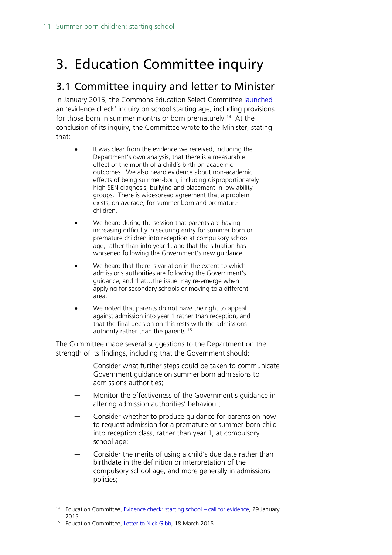## <span id="page-10-0"></span>3. Education Committee inquiry

## <span id="page-10-1"></span>3.1 Committee inquiry and letter to Minister

In January 2015, the Commons Education Select Committee [launched](http://www.parliament.uk/business/committees/committees-a-z/commons-select/education-committee/news/starting-school-call-for-evidence/) an 'evidence check' inquiry on school starting age, including provisions for those born in summer months or born prematurely. [14](#page-10-2) At the conclusion of its inquiry, the Committee wrote to the Minister, stating that:

- It was clear from the evidence we received, including the Department's own analysis, that there is a measurable effect of the month of a child's birth on academic outcomes. We also heard evidence about non-academic effects of being summer-born, including disproportionately high SEN diagnosis, bullying and placement in low ability groups. There is widespread agreement that a problem exists, on average, for summer born and premature children.
- We heard during the session that parents are having increasing difficulty in securing entry for summer born or premature children into reception at compulsory school age, rather than into year 1, and that the situation has worsened following the Government's new guidance.
- We heard that there is variation in the extent to which admissions authorities are following the Government's guidance, and that…the issue may re-emerge when applying for secondary schools or moving to a different area.
- We noted that parents do not have the right to appeal against admission into year 1 rather than reception, and that the final decision on this rests with the admissions authority rather than the parents.<sup>[15](#page-10-3)</sup>

The Committee made several suggestions to the Department on the strength of its findings, including that the Government should:

- ─ Consider what further steps could be taken to communicate Government guidance on summer born admissions to admissions authorities;
- Monitor the effectiveness of the Government's guidance in altering admission authorities' behaviour;
- Consider whether to produce guidance for parents on how to request admission for a premature or summer-born child into reception class, rather than year 1, at compulsory school age;
- Consider the merits of using a child's due date rather than birthdate in the definition or interpretation of the compulsory school age, and more generally in admissions policies;

<span id="page-10-2"></span><sup>&</sup>lt;sup>14</sup> Education Committee, [Evidence check: starting school –](http://www.parliament.uk/business/committees/committees-a-z/commons-select/education-committee/news/starting-school-call-for-evidence/) call for evidence, 29 January 2015

<span id="page-10-3"></span><sup>15</sup> Education Committee, [Letter to Nick Gibb,](http://www.parliament.uk/documents/commons-committees/Education/Committee-letter-to-Nick-Gibb-starting-school.pdf) 18 March 2015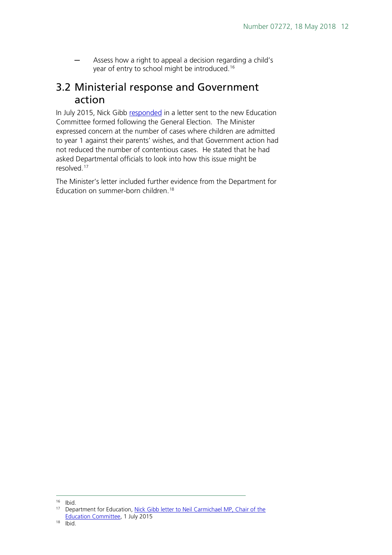Assess how a right to appeal a decision regarding a child's year of entry to school might be introduced.<sup>16</sup>

## <span id="page-11-0"></span>3.2 Ministerial response and Government action

In July 2015, Nick Gibb [responded](http://www.parliament.uk/documents/commons-committees/Education/Nick-Gibb-letter-on-summer-born-admissions.pdf) in a letter sent to the new Education Committee formed following the General Election. The Minister expressed concern at the number of cases where children are admitted to year 1 against their parents' wishes, and that Government action had not reduced the number of contentious cases. He stated that he had asked Departmental officials to look into how this issue might be resolved.[17](#page-11-2)

The Minister's letter included further evidence from the Department for Education on summer-born children. [18](#page-11-3)

<span id="page-11-1"></span> <sup>16</sup> Ibid.

<span id="page-11-3"></span><span id="page-11-2"></span><sup>&</sup>lt;sup>17</sup> Department for Education, Nick Gibb letter to Neil Carmichael MP, Chair of the [Education Committee,](http://www.parliament.uk/documents/commons-committees/Education/Nick-Gibb-letter-on-summer-born-admissions.pdf) 1 July 2015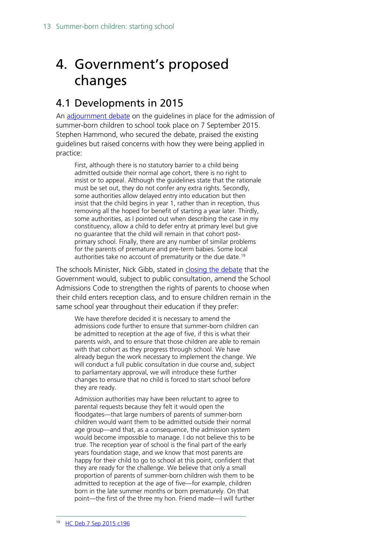## <span id="page-12-0"></span>4. Government's proposed changes

## <span id="page-12-1"></span>4.1 Developments in 2015

An [adjournment debate](http://www.publications.parliament.uk/pa/cm201516/cmhansrd/cm150907/debindx/150907-x.htm) on the guidelines in place for the admission of summer-born children to school took place on 7 September 2015. Stephen Hammond, who secured the debate, praised the existing guidelines but raised concerns with how they were being applied in practice:

First, although there is no statutory barrier to a child being admitted outside their normal age cohort, there is no right to insist or to appeal. Although the guidelines state that the rationale must be set out, they do not confer any extra rights. Secondly, some authorities allow delayed entry into education but then insist that the child begins in year 1, rather than in reception, thus removing all the hoped for benefit of starting a year later. Thirdly, some authorities, as I pointed out when describing the case in my constituency, allow a child to defer entry at primary level but give no guarantee that the child will remain in that cohort postprimary school. Finally, there are any number of similar problems for the parents of premature and pre-term babies. Some local authorities take no account of prematurity or the due date.<sup>[19](#page-12-2)</sup>

The schools Minister, Nick Gibb, stated in [closing the debate](https://hansard.parliament.uk/commons/2015-09-07/debates/15090820000001/Summer-BornChildren(EducationGuidelines)) that the Government would, subject to public consultation, amend the School Admissions Code to strengthen the rights of parents to choose when their child enters reception class, and to ensure children remain in the same school year throughout their education if they prefer:

We have therefore decided it is necessary to amend the admissions code further to ensure that summer-born children can be admitted to reception at the age of five, if this is what their parents wish, and to ensure that those children are able to remain with that cohort as they progress through school. We have already begun the work necessary to implement the change. We will conduct a full public consultation in due course and, subject to parliamentary approval, we will introduce these further changes to ensure that no child is forced to start school before they are ready.

<span id="page-12-2"></span>Admission authorities may have been reluctant to agree to parental requests because they felt it would open the floodgates—that large numbers of parents of summer-born children would want them to be admitted outside their normal age group—and that, as a consequence, the admission system would become impossible to manage. I do not believe this to be true. The reception year of school is the final part of the early years foundation stage, and we know that most parents are happy for their child to go to school at this point, confident that they are ready for the challenge. We believe that only a small proportion of parents of summer-born children wish them to be admitted to reception at the age of five—for example, children born in the late summer months or born prematurely. On that point—the first of the three my hon. Friend made—I will further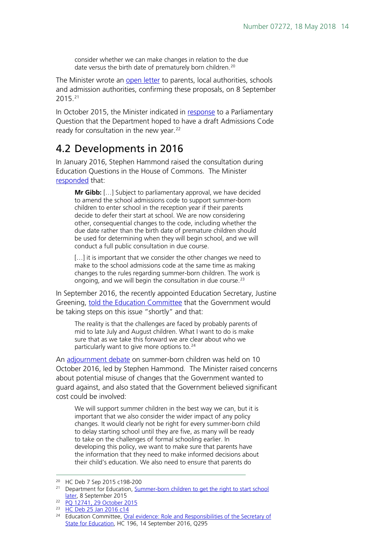consider whether we can make changes in relation to the due date versus the birth date of prematurely born children.<sup>[20](#page-13-1)</sup>

The Minister wrote an [open letter](https://www.gov.uk/government/news/summer-born-children-to-get-the-right-to-start-school-later) to parents, local authorities, schools and admission authorities, confirming these proposals, on 8 September 2015.[21](#page-13-2)

In October 2015, the Minister indicated in [response](http://www.parliament.uk/written-questions-answers-statements/written-question/commons/2015-10-21/12741) to a Parliamentary Question that the Department hoped to have a draft Admissions Code ready for consultation in the new year. $^{22}$  $^{22}$  $^{22}$ 

## <span id="page-13-0"></span>4.2 Developments in 2016

In January 2016, Stephen Hammond raised the consultation during Education Questions in the House of Commons. The Minister [responded](http://www.publications.parliament.uk/pa/cm201516/cmhansrd/cm160125/debtext/160125-0001.htm#1601254000020) that:

**Mr Gibb:** […] Subject to parliamentary approval, we have decided to amend the school admissions code to support summer-born children to enter school in the reception year if their parents decide to defer their start at school. We are now considering other, consequential changes to the code, including whether the due date rather than the birth date of premature children should be used for determining when they will begin school, and we will conduct a full public consultation in due course.

[...] it is important that we consider the other changes we need to make to the school admissions code at the same time as making changes to the rules regarding summer-born children. The work is ongoing, and we will begin the consultation in due course.<sup>[23](#page-13-4)</sup>

In September 2016, the recently appointed Education Secretary, Justine Greening, [told the Education Committee](http://data.parliament.uk/writtenevidence/committeeevidence.svc/evidencedocument/education-committee/role-and-responsibilities-of-the-secretary-of-state/oral/38342.pdf) that the Government would be taking steps on this issue "shortly" and that:

The reality is that the challenges are faced by probably parents of mid to late July and August children. What I want to do is make sure that as we take this forward we are clear about who we particularly want to give more options to.<sup>[24](#page-13-5)</sup>

An [adjournment debate](https://hansard.parliament.uk/commons/2016-10-10/debates/5032D3A8-AA55-4388-BCE2-DE2ACAB8CDCC/SchoolAdmissionsCode) on summer-born children was held on 10 October 2016, led by Stephen Hammond. The Minister raised concerns about potential misuse of changes that the Government wanted to guard against, and also stated that the Government believed significant cost could be involved:

We will support summer children in the best way we can, but it is important that we also consider the wider impact of any policy changes. It would clearly not be right for every summer-born child to delay starting school until they are five, as many will be ready to take on the challenges of formal schooling earlier. In developing this policy, we want to make sure that parents have the information that they need to make informed decisions about their child's education. We also need to ensure that parents do

 <sup>20</sup> HC Deb 7 Sep 2015 c198-200

<span id="page-13-2"></span><span id="page-13-1"></span><sup>&</sup>lt;sup>21</sup> Department for Education, Summer-born children to get the right to start school [later,](https://www.gov.uk/government/news/summer-born-children-to-get-the-right-to-start-school-later) 8 September 2015

<span id="page-13-3"></span><sup>22</sup> [PQ 12741, 29 October 2015](http://www.parliament.uk/written-questions-answers-statements/written-question/commons/2015-10-21/12741)

<span id="page-13-4"></span><sup>&</sup>lt;sup>23</sup> [HC Deb 25 Jan 2016 c14](http://www.publications.parliament.uk/pa/cm201516/cmhansrd/cm160125/debtext/160125-0001.htm#1601254000020)

<span id="page-13-5"></span><sup>&</sup>lt;sup>24</sup> Education Committee, Oral evidence: Role and Responsibilities of the Secretary of [State for Education,](http://data.parliament.uk/writtenevidence/committeeevidence.svc/evidencedocument/education-committee/role-and-responsibilities-of-the-secretary-of-state/oral/38342.pdf) HC 196, 14 September 2016, Q295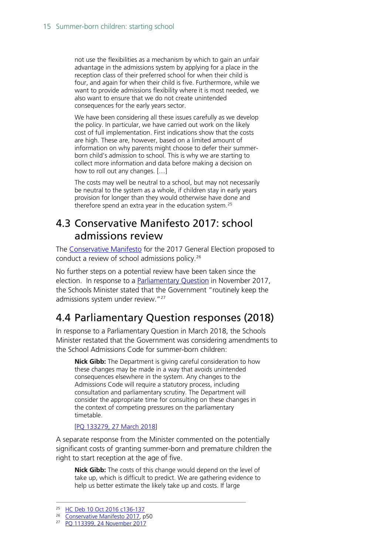not use the flexibilities as a mechanism by which to gain an unfair advantage in the admissions system by applying for a place in the reception class of their preferred school for when their child is four, and again for when their child is five. Furthermore, while we want to provide admissions flexibility where it is most needed, we also want to ensure that we do not create unintended consequences for the early years sector.

We have been considering all these issues carefully as we develop the policy. In particular, we have carried out work on the likely cost of full implementation. First indications show that the costs are high. These are, however, based on a limited amount of information on why parents might choose to defer their summerborn child's admission to school. This is why we are starting to collect more information and data before making a decision on how to roll out any changes. […]

The costs may well be neutral to a school, but may not necessarily be neutral to the system as a whole, if children stay in early years provision for longer than they would otherwise have done and therefore spend an extra year in the education system.<sup>[25](#page-14-2)</sup>

### <span id="page-14-0"></span>4.3 Conservative Manifesto 2017: school admissions review

The [Conservative Manifesto](https://www.conservatives.com/manifesto) for the 2017 General Election proposed to conduct a review of school admissions policy. [26](#page-14-3)

No further steps on a potential review have been taken since the election. In response to a [Parliamentary Question](https://www.parliament.uk/written-questions-answers-statements/written-question/commons/2017-11-15/113399) in November 2017, the Schools Minister stated that the Government "routinely keep the admissions system under review."<sup>27</sup>

## <span id="page-14-1"></span>4.4 Parliamentary Question responses (2018)

In response to a Parliamentary Question in March 2018, the Schools Minister restated that the Government was considering amendments to the School Admissions Code for summer-born children:

**Nick Gibb:** The Department is giving careful consideration to how these changes may be made in a way that avoids unintended consequences elsewhere in the system. Any changes to the Admissions Code will require a statutory process, including consultation and parliamentary scrutiny. The Department will consider the appropriate time for consulting on these changes in the context of competing pressures on the parliamentary timetable.

#### [\[PQ 133279, 27 March 2018\]](https://www.parliament.uk/written-questions-answers-statements/written-question/commons/2018-03-19/133279)

A separate response from the Minister commented on the potentially significant costs of granting summer-born and premature children the right to start reception at the age of five.

**Nick Gibb:** The costs of this change would depend on the level of take up, which is difficult to predict. We are gathering evidence to help us better estimate the likely take up and costs. If large

<span id="page-14-2"></span> <sup>25</sup> [HC Deb 10 Oct 2016 c136-137](https://hansard.parliament.uk/commons/2016-10-10/debates/5032D3A8-AA55-4388-BCE2-DE2ACAB8CDCC/SchoolAdmissionsCode)

<span id="page-14-3"></span><sup>&</sup>lt;sup>26</sup> [Conservative Manifesto 2017,](https://www.conservatives.com/manifesto) p50

<span id="page-14-4"></span><sup>27</sup> [PQ 113399, 24 November 2017](https://www.parliament.uk/written-questions-answers-statements/written-question/commons/2017-11-15/113399)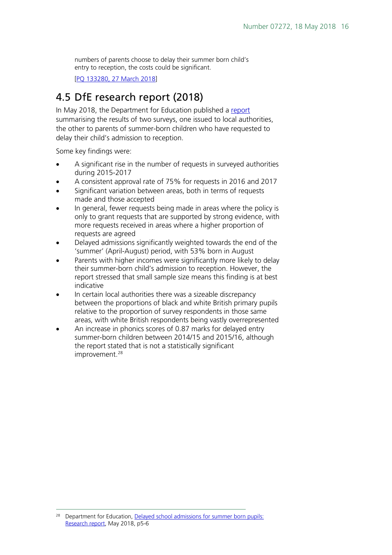numbers of parents choose to delay their summer born child's entry to reception, the costs could be significant.

[\[PQ 133280, 27 March 2018\]](https://www.parliament.uk/written-questions-answers-statements/written-question/commons/2018-03-19/133280)

## <span id="page-15-0"></span>4.5 DfE research report (2018)

In May 2018, the Department for Education published a [report](https://www.gov.uk/government/publications/summer-born-children-school-admission) summarising the results of two surveys, one issued to local authorities, the other to parents of summer-born children who have requested to delay their child's admission to reception.

Some key findings were:

- A significant rise in the number of requests in surveyed authorities during 2015-2017
- A consistent approval rate of 75% for requests in 2016 and 2017
- Significant variation between areas, both in terms of requests made and those accepted
- In general, fewer requests being made in areas where the policy is only to grant requests that are supported by strong evidence, with more requests received in areas where a higher proportion of requests are agreed
- Delayed admissions significantly weighted towards the end of the 'summer' (April-August) period, with 53% born in August
- Parents with higher incomes were significantly more likely to delay their summer-born child's admission to reception. However, the report stressed that small sample size means this finding is at best indicative
- In certain local authorities there was a sizeable discrepancy between the proportions of black and white British primary pupils relative to the proportion of survey respondents in those same areas, with white British respondents being vastly overrepresented
- An increase in phonics scores of 0.87 marks for delayed entry summer-born children between 2014/15 and 2015/16, although the report stated that is not a statistically significant improvement.<sup>[28](#page-15-1)</sup>

<span id="page-15-1"></span>Department for Education, [Delayed school admissions for summer born pupils:](https://www.gov.uk/government/publications/summer-born-children-school-admission) [Research report,](https://www.gov.uk/government/publications/summer-born-children-school-admission) May 2018, p5-6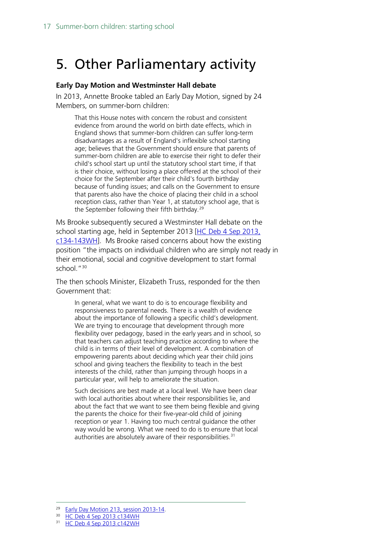## <span id="page-16-0"></span>5. Other Parliamentary activity

#### **Early Day Motion and Westminster Hall debate**

In 2013, Annette Brooke tabled an Early Day Motion, signed by 24 Members, on summer-born children:

That this House notes with concern the robust and consistent evidence from around the world on birth date effects, which in England shows that summer-born children can suffer long-term disadvantages as a result of England's inflexible school starting age; believes that the Government should ensure that parents of summer-born children are able to exercise their right to defer their child's school start up until the statutory school start time, if that is their choice, without losing a place offered at the school of their choice for the September after their child's fourth birthday because of funding issues; and calls on the Government to ensure that parents also have the choice of placing their child in a school reception class, rather than Year 1, at statutory school age, that is the September following their fifth birthday.[29](#page-16-1)

Ms Brooke subsequently secured a Westminster Hall debate on the school starting age, held in September 2013 [HC Deb 4 Sep 2013, [c134-143WH\]](http://www.publications.parliament.uk/pa/cm201314/cmhansrd/cm130904/halltext/130904h0002.htm#13090438000164). Ms Brooke raised concerns about how the existing position "the impacts on individual children who are simply not ready in their emotional, social and cognitive development to start formal school."<sup>[30](#page-16-2)</sup>

The then schools Minister, Elizabeth Truss, responded for the then Government that:

In general, what we want to do is to encourage flexibility and responsiveness to parental needs. There is a wealth of evidence about the importance of following a specific child's development. We are trying to encourage that development through more flexibility over pedagogy, based in the early years and in school, so that teachers can adjust teaching practice according to where the child is in terms of their level of development. A combination of empowering parents about deciding which year their child joins school and giving teachers the flexibility to teach in the best interests of the child, rather than jumping through hoops in a particular year, will help to ameliorate the situation.

Such decisions are best made at a local level. We have been clear with local authorities about where their responsibilities lie, and about the fact that we want to see them being flexible and giving the parents the choice for their five-year-old child of joining reception or year 1. Having too much central guidance the other way would be wrong. What we need to do is to ensure that local authorities are absolutely aware of their responsibilities.<sup>[31](#page-16-3)</sup>

<sup>30</sup> [HC Deb 4 Sep 2013 c134WH](http://www.publications.parliament.uk/pa/cm201314/cmhansrd/cm130904/halltext/130904h0002.htm#13090438000164)

<span id="page-16-2"></span><span id="page-16-1"></span> <sup>29</sup> [Early Day Motion 213, session 2013-14.](http://www.parliament.uk/edm/2013-14/213)

<span id="page-16-3"></span><sup>31</sup> [HC Deb 4 Sep 2013 c142WH](http://www.publications.parliament.uk/pa/cm201314/cmhansrd/cm130904/halltext/130904h0002.htm#13090438000164)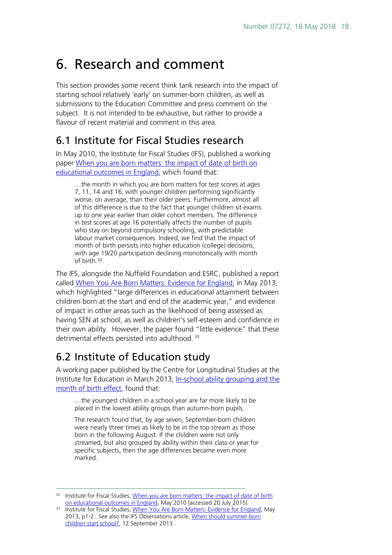## <span id="page-17-0"></span>6. Research and comment

This section provides some recent think tank research into the impact of starting school relatively 'early' on summer-born children, as well as submissions to the Education Committee and press comment on the subject. It is not intended to be exhaustive, but rather to provide a flavour of recent material and comment in this area.

## <span id="page-17-1"></span>6.1 Institute for Fiscal Studies research

In May 2010, the Institute for Fiscal Studies (IFS), published a working paper [When you are born matters: the impact of date of birth on](http://www.ifs.org.uk/publications/4866)  [educational outcomes in England,](http://www.ifs.org.uk/publications/4866) which found that:

…the month in which you are born matters for test scores at ages 7, 11, 14 and 16, with younger children performing significantly worse, on average, than their older peers. Furthermore, almost all of this difference is due to the fact that younger children sit exams up to one year earlier than older cohort members. The difference in test scores at age 16 potentially affects the number of pupils who stay on beyond compulsory schooling, with predictable labour market consequences. Indeed, we find that the impact of month of birth persists into higher education (college) decisions, with age 19/20 participation declining monotonically with month of birth.[32](#page-17-3)

The IFS, alongside the Nuffield Foundation and ESRC, published a report called [When You Are Born Matters: Evidence for England,](http://www.ifs.org.uk/comms/r80.pdf) in May 2013, which highlighted "large differences in educational attainment between children born at the start and end of the academic year," and evidence of impact in other areas such as the likelihood of being assessed as having SEN at school, as well as children's self-esteem and confidence in their own ability. However, the paper found "little evidence" that these detrimental effects persisted into adulthood.<sup>[33](#page-17-4)</sup>

## <span id="page-17-2"></span>6.2 Institute of Education study

A working paper published by the Centre for Longitudinal Studies at the Institute for Education in March 2013, [In-school ability grouping and the](http://www.cls.ioe.ac.uk/cnc/NewsDetail.aspx?itemid=96&itemTitle=Ability+grouping+in+primary+school+may+reinforce+disadvantage+of+summer-born+children%2C+study+finds&sitesectionid=31&sitesectiontitle=News&returnlink=News.aspx%3Fsitesectionid%3D31%26sitesectiontitle%3DNews%26page%3D5)  [month of birth effect,](http://www.cls.ioe.ac.uk/cnc/NewsDetail.aspx?itemid=96&itemTitle=Ability+grouping+in+primary+school+may+reinforce+disadvantage+of+summer-born+children%2C+study+finds&sitesectionid=31&sitesectiontitle=News&returnlink=News.aspx%3Fsitesectionid%3D31%26sitesectiontitle%3DNews%26page%3D5) found that:

…the youngest children in a school year are far more likely to be placed in the lowest ability groups than autumn-born pupils.

The research found that, by age seven, September-born children were nearly three times as likely to be in the top stream as those born in the following August. If the children were not only streamed, but also grouped by ability within their class or year for specific subjects, then the age differences became even more marked.

<span id="page-17-3"></span><sup>&</sup>lt;sup>32</sup> Institute for Fiscal Studies, When you are born matters: the impact of date of birth [on educational outcomes in England,](http://www.ifs.org.uk/publications/4866) May 2010 [accessed 20 July 2015]

<span id="page-17-4"></span><sup>&</sup>lt;sup>33</sup> Institute for Fiscal Studies, [When You Are Born Matters: Evidence for England,](http://www.ifs.org.uk/comms/r80.pdf) May 2013, p1-2. See also the IFS Observations article, When should summer born [children start school?,](http://www.ifs.org.uk/publications/6856) 12 September 2013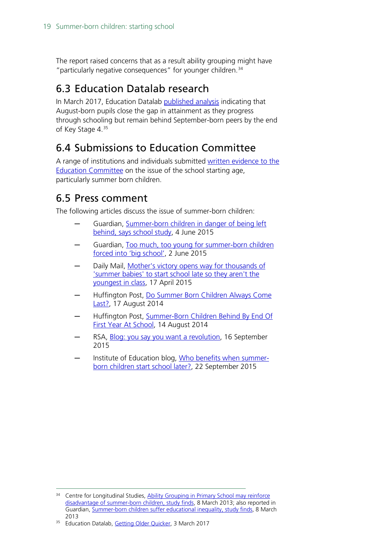The report raised concerns that as a result ability grouping might have "particularly negative consequences" for younger children.<sup>[34](#page-18-3)</sup>

## <span id="page-18-0"></span>6.3 Education Datalab research

In March 2017, Education Datalab [published analysis](http://educationdatalab.org.uk/2017/03/getting-older-quicker/) indicating that August-born pupils close the gap in attainment as they progress through schooling but remain behind September-born peers by the end of Key Stage 4. [35](#page-18-4)

## <span id="page-18-1"></span>6.4 Submissions to Education Committee

A range of institutions and individuals submitted written evidence to the [Education Committee](http://www.parliament.uk/business/committees/committees-a-z/commons-select/education-committee/inquiries/parliament-2010/evidence-check-starting-school/?type=Written#pnlPublicationFilter) on the issue of the school starting age, particularly summer born children.

### <span id="page-18-2"></span>6.5 Press comment

The following articles discuss the issue of summer-born children:

- Guardian, Summer-born children in danger of being left [behind, says school study,](http://www.theguardian.com/education/2015/jun/04/summer-born-children-left-behind-in-the-classroom-says-study) 4 June 2015
- Guardian, Too much, too young for summer-born children [forced into 'big school',](http://www.theguardian.com/education/2015/jun/02/summer-born-children-primary-school-age) 2 June 2015
- Daily Mail, Mother's victory opens way for thousands of ['summer babies' to start school late so they aren't the](http://www.dailymail.co.uk/news/article-3043341/Mother-s-victory-opens-way-thousands-summer-babies-start-school-late-aren-t-youngest-class.html)  [youngest in class,](http://www.dailymail.co.uk/news/article-3043341/Mother-s-victory-opens-way-thousands-summer-babies-start-school-late-aren-t-youngest-class.html) 17 April 2015
- Huffington Post, Do Summer Born Children Always Come [Last?,](http://www.huffingtonpost.co.uk/2014/08/14/do-summer-born-children-always-come-last_n_7354336.html) 17 August 2014
- Huffington Post, Summer-Born Children Behind By End Of [First Year At School,](http://www.huffingtonpost.co.uk/2014/08/14/summer-born-children-behind-by-end-of-first-year-at-school_n_7354412.html) 14 August 2014
- RSA, [Blog: you say you want a revolution,](https://www.thersa.org/discover/publications-and-articles/rsa-blogs/2015/09/summer-born/) 16 September 2015
- Institute of Education blog, [Who benefits when summer](https://ioelondonblog.wordpress.com/2015/09/22/who-benefits-when-summer-born-children-start-school-later/)[born children start school later?,](https://ioelondonblog.wordpress.com/2015/09/22/who-benefits-when-summer-born-children-start-school-later/) 22 September 2015

<span id="page-18-3"></span><sup>&</sup>lt;sup>34</sup> Centre for Longitudinal Studies, Ability Grouping in Primary School may reinforce [disadvantage of summer-born children, study finds,](http://www.cls.ioe.ac.uk/cnc/NewsDetail.aspx?itemid=96&itemTitle=Ability+grouping+in+primary+school+may+reinforce+disadvantage+of+summer-born+children%2C+study+finds&sitesectionid=31&sitesectiontitle=News&returnlink=News.aspx%3Fsitesectionid%3D31%26sitesectiontitle%3DNews%26page%3D5) 8 March 2013; also reported in Guardian, [Summer-born children suffer educational inequality, study finds,](http://www.theguardian.com/education/2013/mar/08/summer-born-children-educational-inequality) 8 March 2013

<span id="page-18-4"></span><sup>&</sup>lt;sup>35</sup> Education Datalab, [Getting Older Quicker,](http://educationdatalab.org.uk/2017/03/getting-older-quicker/) 3 March 2017